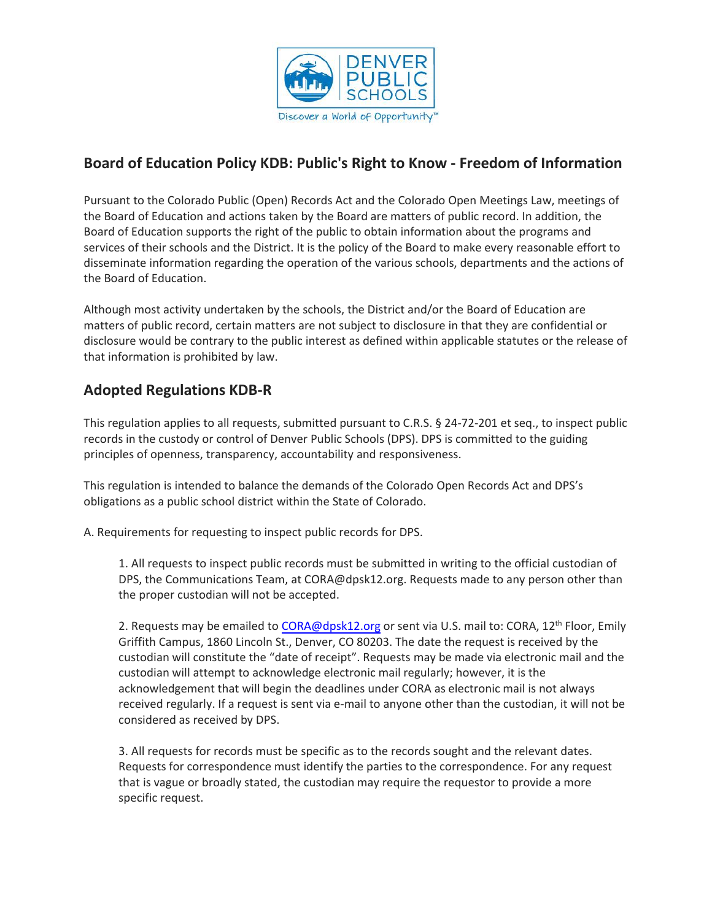

## **Board of Education Policy KDB: Public's Right to Know - Freedom of Information**

Pursuant to the Colorado Public (Open) Records Act and the Colorado Open Meetings Law, meetings of the Board of Education and actions taken by the Board are matters of public record. In addition, the Board of Education supports the right of the public to obtain information about the programs and services of their schools and the District. It is the policy of the Board to make every reasonable effort to disseminate information regarding the operation of the various schools, departments and the actions of the Board of Education.

Although most activity undertaken by the schools, the District and/or the Board of Education are matters of public record, certain matters are not subject to disclosure in that they are confidential or disclosure would be contrary to the public interest as defined within applicable statutes or the release of that information is prohibited by law.

## **Adopted Regulations KDB-R**

This regulation applies to all requests, submitted pursuant to C.R.S. § 24-72-201 et seq., to inspect public records in the custody or control of Denver Public Schools (DPS). DPS is committed to the guiding principles of openness, transparency, accountability and responsiveness.

This regulation is intended to balance the demands of the Colorado Open Records Act and DPS's obligations as a public school district within the State of Colorado.

A. Requirements for requesting to inspect public records for DPS.

1. All requests to inspect public records must be submitted in writing to the official custodian of DPS, the Communications Team, at CORA@dpsk12.org. Requests made to any person other than the proper custodian will not be accepted.

2. Requests may be emailed to [CORA@dpsk12.org](mailto:CORA@dpsk12.org) or sent via U.S. mail to: CORA, 12<sup>th</sup> Floor, Emily Griffith Campus, 1860 Lincoln St., Denver, CO 80203. The date the request is received by the custodian will constitute the "date of receipt". Requests may be made via electronic mail and the custodian will attempt to acknowledge electronic mail regularly; however, it is the acknowledgement that will begin the deadlines under CORA as electronic mail is not always received regularly. If a request is sent via e-mail to anyone other than the custodian, it will not be considered as received by DPS.

3. All requests for records must be specific as to the records sought and the relevant dates. Requests for correspondence must identify the parties to the correspondence. For any request that is vague or broadly stated, the custodian may require the requestor to provide a more specific request.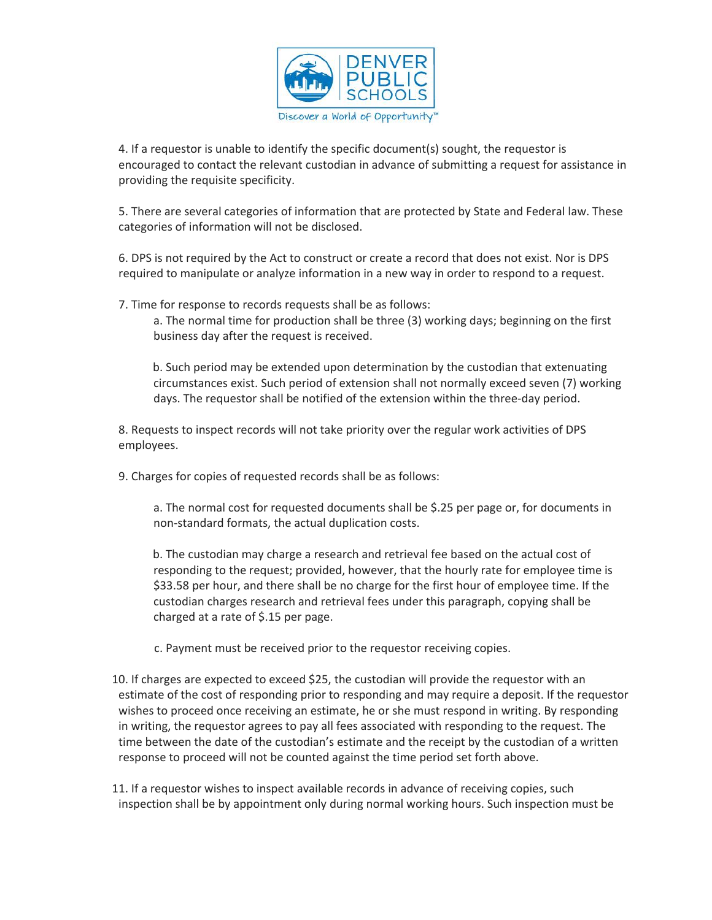

4. If a requestor is unable to identify the specific document(s) sought, the requestor is encouraged to contact the relevant custodian in advance of submitting a request for assistance in providing the requisite specificity.

5. There are several categories of information that are protected by State and Federal law. These categories of information will not be disclosed.

6. DPS is not required by the Act to construct or create a record that does not exist. Nor is DPS required to manipulate or analyze information in a new way in order to respond to a request.

7. Time for response to records requests shall be as follows:

a. The normal time for production shall be three (3) working days; beginning on the first business day after the request is received.

b. Such period may be extended upon determination by the custodian that extenuating circumstances exist. Such period of extension shall not normally exceed seven (7) working days. The requestor shall be notified of the extension within the three-day period.

8. Requests to inspect records will not take priority over the regular work activities of DPS employees.

9. Charges for copies of requested records shall be as follows:

a. The normal cost for requested documents shall be \$.25 per page or, for documents in non-standard formats, the actual duplication costs.

b. The custodian may charge a research and retrieval fee based on the actual cost of responding to the request; provided, however, that the hourly rate for employee time is \$33.58 per hour, and there shall be no charge for the first hour of employee time. If the custodian charges research and retrieval fees under this paragraph, copying shall be charged at a rate of \$.15 per page.

- c. Payment must be received prior to the requestor receiving copies.
- 10. If charges are expected to exceed \$25, the custodian will provide the requestor with an estimate of the cost of responding prior to responding and may require a deposit. If the requestor wishes to proceed once receiving an estimate, he or she must respond in writing. By responding in writing, the requestor agrees to pay all fees associated with responding to the request. The time between the date of the custodian's estimate and the receipt by the custodian of a written response to proceed will not be counted against the time period set forth above.

11. If a requestor wishes to inspect available records in advance of receiving copies, such inspection shall be by appointment only during normal working hours. Such inspection must be